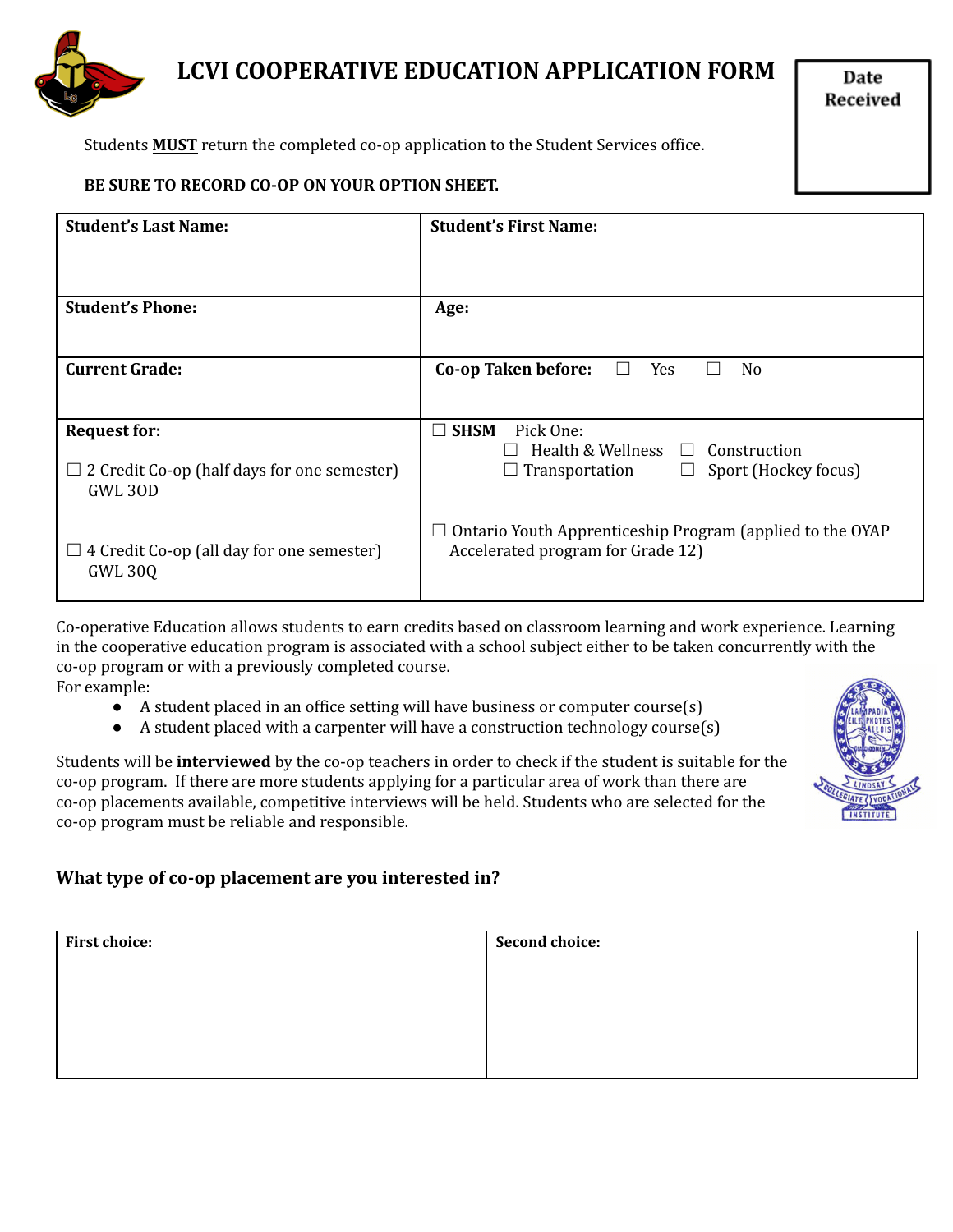

# **LCVI COOPERATIVE EDUCATION APPLICATION FORM**

Date Received

Students **MUST** return the completed co-op application to the Student Services office.

#### **BE SURE TO RECORD CO-OP ON YOUR OPTION SHEET.**

| <b>Student's Last Name:</b>                                      | <b>Student's First Name:</b>                                                                   |
|------------------------------------------------------------------|------------------------------------------------------------------------------------------------|
|                                                                  |                                                                                                |
| <b>Student's Phone:</b>                                          | Age:                                                                                           |
|                                                                  |                                                                                                |
| <b>Current Grade:</b>                                            | Co-op Taken before:<br>N <sub>o</sub><br>Yes                                                   |
|                                                                  |                                                                                                |
| <b>Request for:</b>                                              | $\square$ SHSM<br>Pick One:                                                                    |
|                                                                  | Health & Wellness<br>Construction<br>$\Box$                                                    |
| $\Box$ 2 Credit Co-op (half days for one semester)<br>GWL 30D    | Sport (Hockey focus)<br>Transportation<br>$\Box$<br>ш                                          |
| 4 Credit Co-op (all day for one semester)<br>ப<br><b>GWL 300</b> | Ontario Youth Apprenticeship Program (applied to the OYAP<br>Accelerated program for Grade 12) |

Co-operative Education allows students to earn credits based on classroom learning and work experience. Learning in the cooperative education program is associated with a school subject either to be taken concurrently with the co-op program or with a previously completed course. For example:

- A student placed in an office setting will have business or computer course(s)
- A student placed with a carpenter will have a construction technology course(s)

Students will be **interviewed** by the co-op teachers in order to check if the student is suitable for the co-op program. If there are more students applying for a particular area of work than there are co-op placements available, competitive interviews will be held. Students who are selected for the co-op program must be reliable and responsible.



### **What type of co-op placement are you interested in?**

| <b>First choice:</b> | <b>Second choice:</b> |
|----------------------|-----------------------|
|                      |                       |
|                      |                       |
|                      |                       |
|                      |                       |